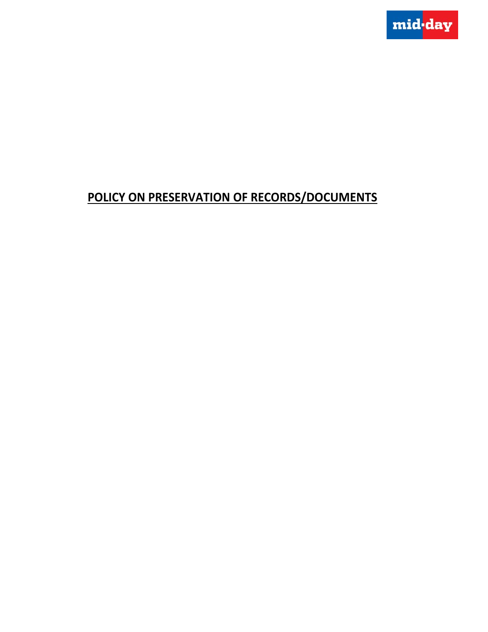

# **POLICY ON PRESERVATION OF RECORDS/DOCUMENTS**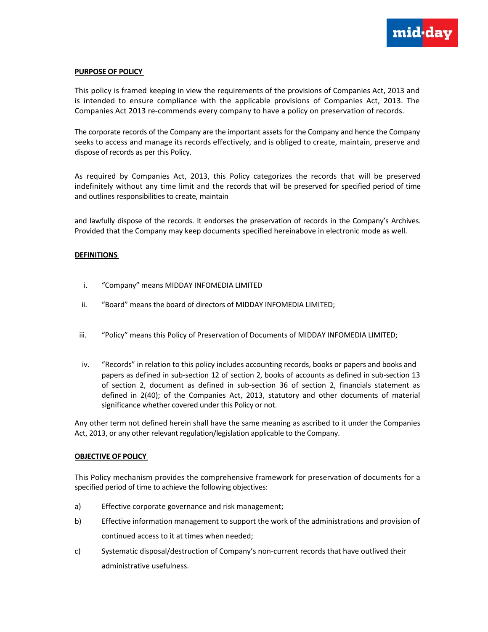

## **PURPOSE OF POLICY**

This policy is framed keeping in view the requirements of the provisions of Companies Act, 2013 and is intended to ensure compliance with the applicable provisions of Companies Act, 2013. The Companies Act 2013 re‐commends every company to have a policy on preservation of records.

The corporate records of the Company are the important assets for the Company and hence the Company seeks to access and manage its records effectively, and is obliged to create, maintain, preserve and dispose of records as per this Policy.

As required by Companies Act, 2013, this Policy categorizes the records that will be preserved indefinitely without any time limit and the records that will be preserved for specified period of time and outlines responsibilities to create, maintain

and lawfully dispose of the records. It endorses the preservation of records in the Company's Archives. Provided that the Company may keep documents specified hereinabove in electronic mode as well.

## **DEFINITIONS**

- i. "Company" means MIDDAY INFOMEDIA LIMITED
- ii. "Board" means the board of directors of MIDDAY INFOMEDIA LIMITED;
- iii. "Policy" means this Policy of Preservation of Documents of MIDDAY INFOMEDIA LIMITED;
- iv. "Records" in relation to this policy includes accounting records, books or papers and books and papers as defined in sub‐section 12 of section 2, books of accounts as defined in sub‐section 13 of section 2, document as defined in sub‐section 36 of section 2, financials statement as defined in 2(40); of the Companies Act, 2013, statutory and other documents of material significance whether covered under this Policy or not.

Any other term not defined herein shall have the same meaning as ascribed to it under the Companies Act, 2013, or any other relevant regulation/legislation applicable to the Company.

## **OBJECTIVE OF POLICY**

This Policy mechanism provides the comprehensive framework for preservation of documents for a specified period of time to achieve the following objectives:

- a) Effective corporate governance and risk management;
- b) Effective information management to support the work of the administrations and provision of continued access to it at times when needed;
- c) Systematic disposal/destruction of Company's non-current records that have outlived their administrative usefulness.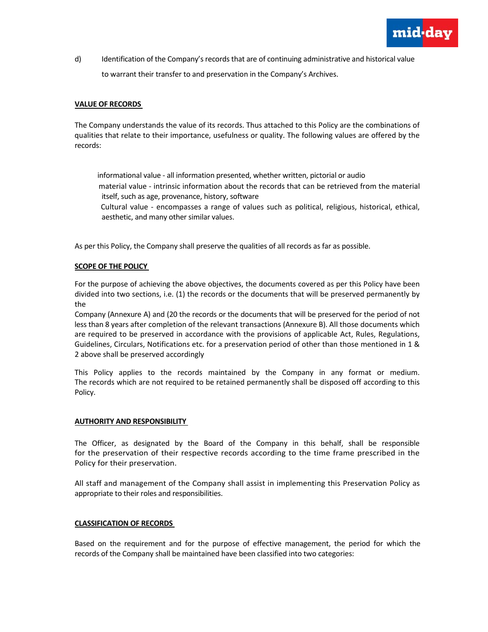

d) Identification of the Company's records that are of continuing administrative and historical value to warrant their transfer to and preservation in the Company's Archives.

## **VALUE OF RECORDS**

The Company understands the value of its records. Thus attached to this Policy are the combinations of qualities that relate to their importance, usefulness or quality. The following values are offered by the records:

 informational value ‐ all information presented, whether written, pictorial or audio material value ‐ intrinsic information about the records that can be retrieved from the material itself, such as age, provenance, history, software

 Cultural value ‐ encompasses a range of values such as political, religious, historical, ethical, aesthetic, and many other similar values.

As per this Policy, the Company shall preserve the qualities of all records as far as possible.

## **SCOPE OF THE POLICY**

For the purpose of achieving the above objectives, the documents covered as per this Policy have been divided into two sections, i.e. (1) the records or the documents that will be preserved permanently by the

Company (Annexure A) and (20 the records or the documents that will be preserved for the period of not less than 8 years after completion of the relevant transactions (Annexure B). All those documents which are required to be preserved in accordance with the provisions of applicable Act, Rules, Regulations, Guidelines, Circulars, Notifications etc. for a preservation period of other than those mentioned in 1 & 2 above shall be preserved accordingly

This Policy applies to the records maintained by the Company in any format or medium. The records which are not required to be retained permanently shall be disposed off according to this Policy.

#### **AUTHORITY AND RESPONSIBILITY**

The Officer, as designated by the Board of the Company in this behalf, shall be responsible for the preservation of their respective records according to the time frame prescribed in the Policy for their preservation.

All staff and management of the Company shall assist in implementing this Preservation Policy as appropriate to their roles and responsibilities.

#### **CLASSIFICATION OF RECORDS**

Based on the requirement and for the purpose of effective management, the period for which the records of the Company shall be maintained have been classified into two categories: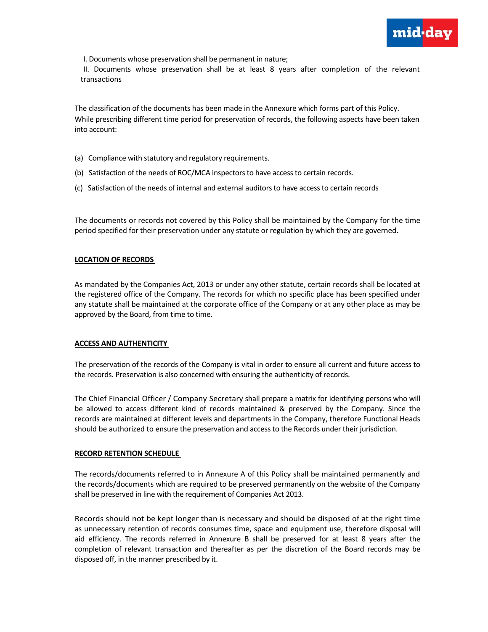

I. Documents whose preservation shall be permanent in nature;

II. Documents whose preservation shall be at least 8 years after completion of the relevant transactions

The classification of the documents has been made in the Annexure which forms part of this Policy. While prescribing different time period for preservation of records, the following aspects have been taken into account:

- (a) Compliance with statutory and regulatory requirements.
- (b) Satisfaction of the needs of ROC/MCA inspectors to have access to certain records.
- (c) Satisfaction of the needs of internal and external auditorsto have accessto certain records

The documents or records not covered by this Policy shall be maintained by the Company for the time period specified for their preservation under any statute or regulation by which they are governed.

## **LOCATION OF RECORDS**

As mandated by the Companies Act, 2013 or under any other statute, certain records shall be located at the registered office of the Company. The records for which no specific place has been specified under any statute shall be maintained at the corporate office of the Company or at any other place as may be approved by the Board, from time to time.

## **ACCESS AND AUTHENTICITY**

The preservation of the records of the Company is vital in order to ensure all current and future access to the records. Preservation is also concerned with ensuring the authenticity of records.

The Chief Financial Officer / Company Secretary shall prepare a matrix for identifying persons who will be allowed to access different kind of records maintained & preserved by the Company. Since the records are maintained at different levels and departments in the Company, therefore Functional Heads should be authorized to ensure the preservation and accessto the Records under their jurisdiction.

#### **RECORD RETENTION SCHEDULE**

The records/documents referred to in Annexure A of this Policy shall be maintained permanently and the records/documents which are required to be preserved permanently on the website of the Company shall be preserved in line with the requirement of Companies Act 2013.

Records should not be kept longer than is necessary and should be disposed of at the right time as unnecessary retention of records consumes time, space and equipment use, therefore disposal will aid efficiency. The records referred in Annexure B shall be preserved for at least 8 years after the completion of relevant transaction and thereafter as per the discretion of the Board records may be disposed off, in the manner prescribed by it.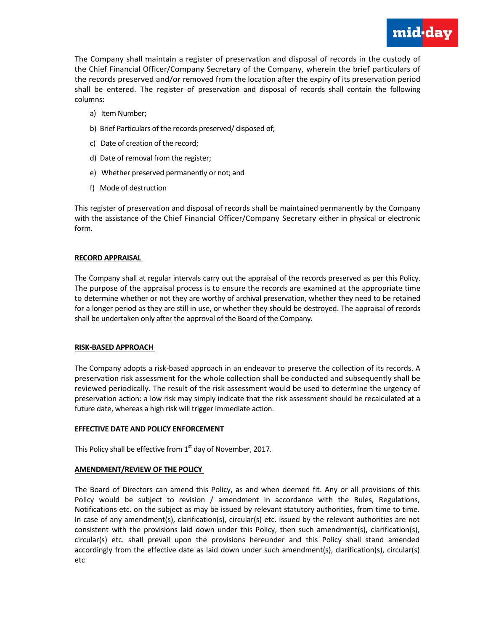

The Company shall maintain a register of preservation and disposal of records in the custody of the Chief Financial Officer/Company Secretary of the Company, wherein the brief particulars of the records preserved and/or removed from the location after the expiry of its preservation period shall be entered. The register of preservation and disposal of records shall contain the following columns:

- a) Item Number;
- b) Brief Particulars of the records preserved/ disposed of;
- c) Date of creation of the record;
- d) Date of removal from the register;
- e) Whether preserved permanently or not; and
- f) Mode of destruction

This register of preservation and disposal of records shall be maintained permanently by the Company with the assistance of the Chief Financial Officer/Company Secretary either in physical or electronic form.

## **RECORD APPRAISAL**

The Company shall at regular intervals carry out the appraisal of the records preserved as per this Policy. The purpose of the appraisal process is to ensure the records are examined at the appropriate time to determine whether or not they are worthy of archival preservation, whether they need to be retained for a longer period as they are still in use, or whether they should be destroyed. The appraisal of records shall be undertaken only after the approval of the Board of the Company.

## **RISK‐BASED APPROACH**

The Company adopts a risk‐based approach in an endeavor to preserve the collection of its records. A preservation risk assessment for the whole collection shall be conducted and subsequently shall be reviewed periodically. The result of the risk assessment would be used to determine the urgency of preservation action: a low risk may simply indicate that the risk assessment should be recalculated at a future date, whereas a high risk will trigger immediate action.

## **EFFECTIVE DATE AND POLICY ENFORCEMENT**

This Policy shall be effective from  $1<sup>st</sup>$  day of November, 2017.

## **AMENDMENT/REVIEW OF THE POLICY**

The Board of Directors can amend this Policy, as and when deemed fit. Any or all provisions of this Policy would be subject to revision / amendment in accordance with the Rules, Regulations, Notifications etc. on the subject as may be issued by relevant statutory authorities, from time to time. In case of any amendment(s), clarification(s), circular(s) etc. issued by the relevant authorities are not consistent with the provisions laid down under this Policy, then such amendment(s), clarification(s), circular(s) etc. shall prevail upon the provisions hereunder and this Policy shall stand amended accordingly from the effective date as laid down under such amendment(s), clarification(s), circular(s) etc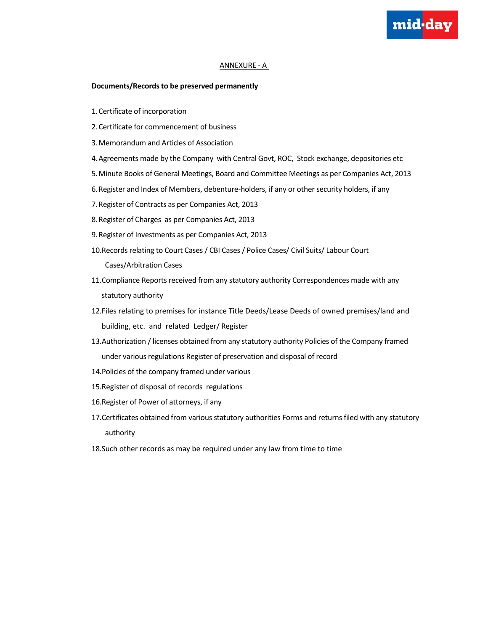## ANNEXURE ‐ A

mid-day

#### **Documents/Records to be preserved permanently**

- 1.Certificate of incorporation
- 2.Certificate for commencement of business
- 3.Memorandum and Articles of Association
- 4.Agreements made by the Company with Central Govt, ROC, Stock exchange, depositories etc
- 5.Minute Books of General Meetings, Board and Committee Meetings as per Companies Act, 2013
- 6.Register and Index of Members, debenture‐holders, if any or other security holders, if any
- 7.Register of Contracts as per Companies Act, 2013
- 8.Register of Charges as per Companies Act, 2013
- 9.Register of Investments as per Companies Act, 2013
- 10.Records relating to Court Cases / CBI Cases / Police Cases/ Civil Suits/ Labour Court

Cases/Arbitration Cases

- 11.Compliance Reports received from any statutory authority Correspondences made with any statutory authority
- 12.Files relating to premises for instance Title Deeds/Lease Deeds of owned premises/land and building, etc. and related Ledger/ Register
- 13.Authorization / licenses obtained from any statutory authority Policies of the Company framed under various regulations Register of preservation and disposal of record
- 14.Policies of the company framed under various
- 15.Register of disposal of records regulations
- 16.Register of Power of attorneys, if any
- 17.Certificates obtained from various statutory authorities Forms and returns filed with any statutory authority
- 18.Such other records as may be required under any law from time to time